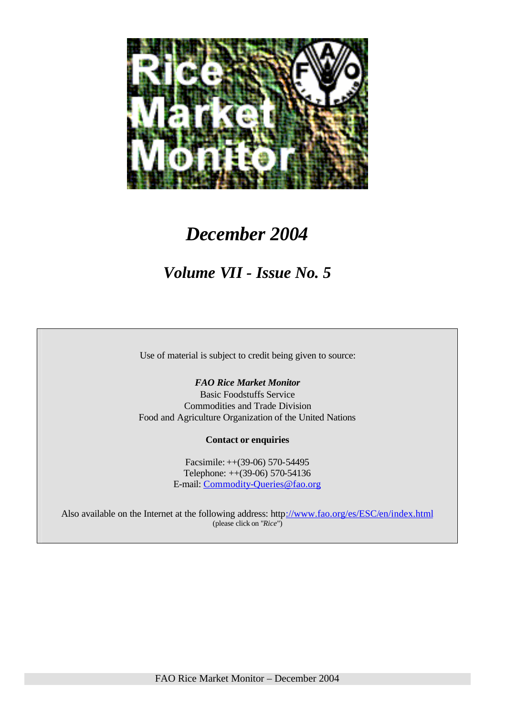

# *December 2004*

# *Volume VII - Issue No. 5*

Use of material is subject to credit being given to source:

#### *FAO Rice Market Monitor*

Basic Foodstuffs Service Commodities and Trade Division Food and Agriculture Organization of the United Nations

#### **Contact or enquiries**

Facsimile: ++(39-06) 570-54495 Telephone: ++(39-06) 570-54136 E-mail: Commodity-Queries@fao.org

Also available on the Internet at the following address: http://www.fao.org/es/ESC/en/index.html (please click on "*Rice*")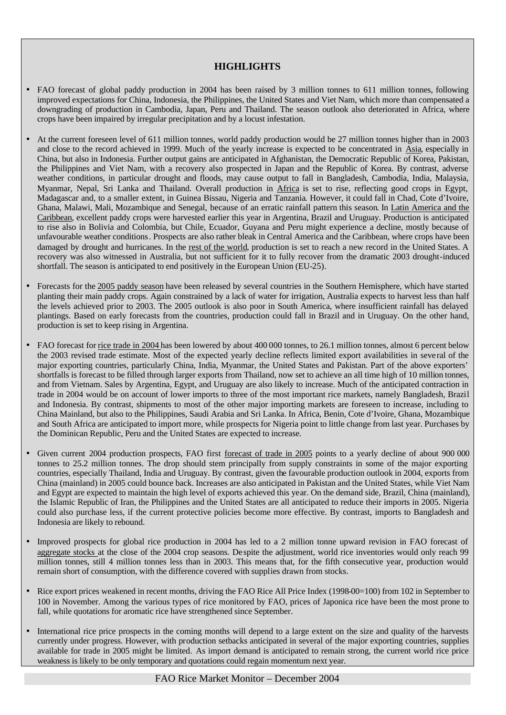#### **HIGHLIGHTS**

- FAO forecast of global paddy production in 2004 has been raised by 3 million tonnes to 611 million tonnes, following improved expectations for China, Indonesia, the Philippines, the United States and Viet Nam, which more than compensated a downgrading of production in Cambodia, Japan, Peru and Thailand. The season outlook also deteriorated in Africa, where crops have been impaired by irregular precipitation and by a locust infestation.
- At the current foreseen level of 611 million tonnes, world paddy production would be 27 million tonnes higher than in 2003 and close to the record achieved in 1999. Much of the yearly increase is expected to be concentrated in Asia, especially in China, but also in Indonesia. Further output gains are anticipated in Afghanistan, the Democratic Republic of Korea, Pakistan, the Philippines and Viet Nam, with a recovery also prospected in Japan and the Republic of Korea. By contrast, adverse weather conditions, in particular drought and floods, may cause output to fall in Bangladesh, Cambodia, India, Malaysia, Myanmar, Nepal, Sri Lanka and Thailand. Overall production in Africa is set to rise, reflecting good crops in Egypt, Madagascar and, to a smaller extent, in Guinea Bissau, Nigeria and Tanzania. However, it could fall in Chad, Cote d'Ivoire, Ghana, Malawi, Mali, Mozambique and Senegal, because of an erratic rainfall pattern this season. In Latin America and the Caribbean, excellent paddy crops were harvested earlier this year in Argentina, Brazil and Uruguay. Production is anticipated to rise also in Bolivia and Colombia, but Chile, Ecuador, Guyana and Peru might experience a decline, mostly because of unfavourable weather conditions. Prospects are also rather bleak in Central America and the Caribbean, where crops have been damaged by drought and hurricanes. In the rest of the world, production is set to reach a new record in the United States. A recovery was also witnessed in Australia, but not sufficient for it to fully recover from the dramatic 2003 drought-induced shortfall. The season is anticipated to end positively in the European Union (EU-25).
- Forecasts for the 2005 paddy season have been released by several countries in the Southern Hemisphere, which have started planting their main paddy crops. Again constrained by a lack of water for irrigation, Australia expects to harvest less than half the levels achieved prior to 2003. The 2005 outlook is also poor in South America, where insufficient rainfall has delayed plantings. Based on early forecasts from the countries, production could fall in Brazil and in Uruguay. On the other hand, production is set to keep rising in Argentina.
- FAO forecast for rice trade in 2004 has been lowered by about 400 000 tonnes, to 26.1 million tonnes, almost 6 percent below the 2003 revised trade estimate. Most of the expected yearly decline reflects limited export availabilities in several of the major exporting countries, particularly China, India, Myanmar, the United States and Pakistan. Part of the above exporters' shortfalls is forecast to be filled through larger exports from Thailand, now set to achieve an all time high of 10 million tonnes, and from Vietnam. Sales by Argentina, Egypt, and Uruguay are also likely to increase. Much of the anticipated contraction in trade in 2004 would be on account of lower imports to three of the most important rice markets, namely Bangladesh, Brazil and Indonesia. By contrast, shipments to most of the other major importing markets are foreseen to increase, including to China Mainland, but also to the Philippines, Saudi Arabia and Sri Lanka. In Africa, Benin, Cote d'Ivoire, Ghana, Mozambique and South Africa are anticipated to import more, while prospects for Nigeria point to little change from last year. Purchases by the Dominican Republic, Peru and the United States are expected to increase.
- Given current 2004 production prospects, FAO first forecast of trade in 2005 points to a yearly decline of about 900 000 tonnes to 25.2 million tonnes. The drop should stem principally from supply constraints in some of the major exporting countries, especially Thailand, India and Uruguay. By contrast, given the favourable production outlook in 2004, exports from China (mainland) in 2005 could bounce back. Increases are also anticipated in Pakistan and the United States, while Viet Nam and Egypt are expected to maintain the high level of exports achieved this year. On the demand side, Brazil, China (mainland), the Islamic Republic of Iran, the Philippines and the United States are all anticipated to reduce their imports in 2005. Nigeria could also purchase less, if the current protective policies become more effective. By contrast, imports to Bangladesh and Indonesia are likely to rebound.
- Improved prospects for global rice production in 2004 has led to a 2 million tonne upward revision in FAO forecast of aggregate stocks at the close of the 2004 crop seasons. Despite the adjustment, world rice inventories would only reach 99 million tonnes, still 4 million tonnes less than in 2003. This means that, for the fifth consecutive year, production would remain short of consumption, with the difference covered with supplies drawn from stocks.
- Rice export prices weakened in recent months, driving the FAO Rice All Price Index (1998-00=100) from 102 in September to 100 in November. Among the various types of rice monitored by FAO, prices of Japonica rice have been the most prone to fall, while quotations for aromatic rice have strengthened since September.
- International rice price prospects in the coming months will depend to a large extent on the size and quality of the harvests currently under progress. However, with production setbacks anticipated in several of the major exporting countries, supplies available for trade in 2005 might be limited. As import demand is anticipated to remain strong, the current world rice price weakness is likely to be only temporary and quotations could regain momentum next year.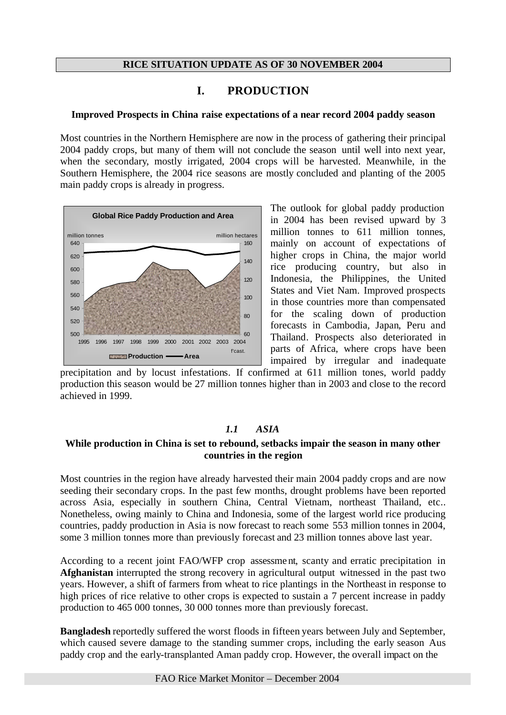#### **RICE SITUATION UPDATE AS OF 30 NOVEMBER 2004**

# **I. PRODUCTION**

#### **Improved Prospects in China raise expectations of a near record 2004 paddy season**

Most countries in the Northern Hemisphere are now in the process of gathering their principal 2004 paddy crops, but many of them will not conclude the season until well into next year, when the secondary, mostly irrigated, 2004 crops will be harvested. Meanwhile, in the Southern Hemisphere, the 2004 rice seasons are mostly concluded and planting of the 2005 main paddy crops is already in progress.



The outlook for global paddy production in 2004 has been revised upward by 3 million tonnes to 611 million tonnes. mainly on account of expectations of higher crops in China, the major world rice producing country, but also in Indonesia, the Philippines, the United States and Viet Nam. Improved prospects in those countries more than compensated for the scaling down of production forecasts in Cambodia, Japan, Peru and Thailand. Prospects also deteriorated in parts of Africa, where crops have been impaired by irregular and inadequate

precipitation and by locust infestations. If confirmed at 611 million tones, world paddy production this season would be 27 million tonnes higher than in 2003 and close to the record achieved in 1999.

# *1.1 ASIA*

#### **While production in China is set to rebound, setbacks impair the season in many other countries in the region**

Most countries in the region have already harvested their main 2004 paddy crops and are now seeding their secondary crops. In the past few months, drought problems have been reported across Asia, especially in southern China, Central Vietnam, northeast Thailand, etc.. Nonetheless, owing mainly to China and Indonesia, some of the largest world rice producing countries, paddy production in Asia is now forecast to reach some 553 million tonnes in 2004, some 3 million tonnes more than previously forecast and 23 million tonnes above last year.

According to a recent joint FAO/WFP crop assessme nt, scanty and erratic precipitation in **Afghanistan** interrupted the strong recovery in agricultural output witnessed in the past two years. However, a shift of farmers from wheat to rice plantings in the Northeast in response to high prices of rice relative to other crops is expected to sustain a 7 percent increase in paddy production to 465 000 tonnes, 30 000 tonnes more than previously forecast.

**Bangladesh** reportedly suffered the worst floods in fifteen years between July and September, which caused severe damage to the standing summer crops, including the early season Aus paddy crop and the early-transplanted Aman paddy crop. However, the overall impact on the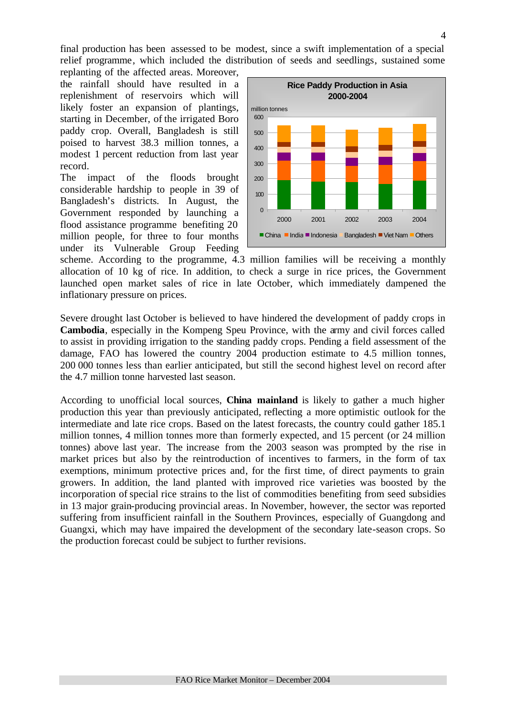final production has been assessed to be modest, since a swift implementation of a special relief programme, which included the distribution of seeds and seedlings, sustained some

replanting of the affected areas. Moreover, the rainfall should have resulted in a replenishment of reservoirs which will likely foster an expansion of plantings, starting in December, of the irrigated Boro paddy crop. Overall, Bangladesh is still poised to harvest 38.3 million tonnes, a modest 1 percent reduction from last year record.

The impact of the floods brought considerable hardship to people in 39 of Bangladesh's districts. In August, the Government responded by launching a flood assistance programme benefiting 20 million people, for three to four months under its Vulnerable Group Feeding



scheme. According to the programme, 4.3 million families will be receiving a monthly allocation of 10 kg of rice. In addition, to check a surge in rice prices, the Government launched open market sales of rice in late October, which immediately dampened the inflationary pressure on prices.

Severe drought last October is believed to have hindered the development of paddy crops in **Cambodia**, especially in the Kompeng Speu Province, with the army and civil forces called to assist in providing irrigation to the standing paddy crops. Pending a field assessment of the damage, FAO has lowered the country 2004 production estimate to 4.5 million tonnes, 200 000 tonnes less than earlier anticipated, but still the second highest level on record after the 4.7 million tonne harvested last season.

According to unofficial local sources, **China mainland** is likely to gather a much higher production this year than previously anticipated, reflecting a more optimistic outlook for the intermediate and late rice crops. Based on the latest forecasts, the country could gather 185.1 million tonnes, 4 million tonnes more than formerly expected, and 15 percent (or 24 million tonnes) above last year. The increase from the 2003 season was prompted by the rise in market prices but also by the reintroduction of incentives to farmers, in the form of tax exemptions, minimum protective prices and, for the first time, of direct payments to grain growers. In addition, the land planted with improved rice varieties was boosted by the incorporation of special rice strains to the list of commodities benefiting from seed subsidies in 13 major grain-producing provincial areas. In November, however, the sector was reported suffering from insufficient rainfall in the Southern Provinces, especially of Guangdong and Guangxi, which may have impaired the development of the secondary late-season crops. So the production forecast could be subject to further revisions.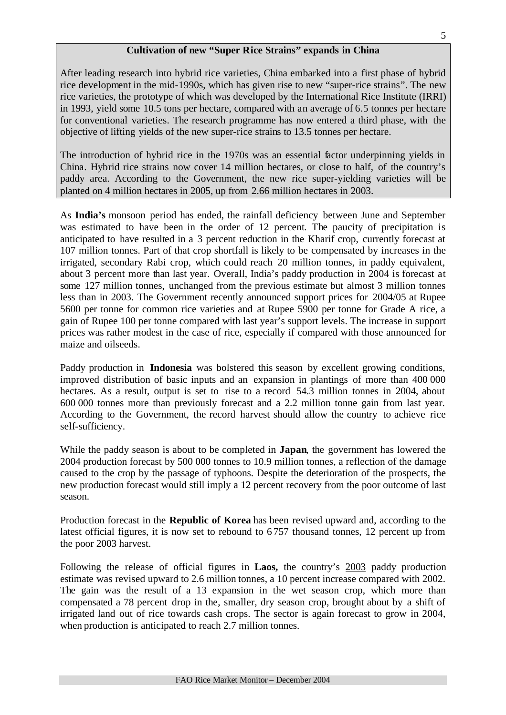#### **Cultivation of new "Super Rice Strains" expands in China**

After leading research into hybrid rice varieties, China embarked into a first phase of hybrid rice development in the mid-1990s, which has given rise to new "super-rice strains". The new rice varieties, the prototype of which was developed by the International Rice Institute (IRRI) in 1993, yield some 10.5 tons per hectare, compared with an average of 6.5 tonnes per hectare for conventional varieties. The research programme has now entered a third phase, with the objective of lifting yields of the new super-rice strains to 13.5 tonnes per hectare.

The introduction of hybrid rice in the 1970s was an essential factor underpinning yields in China. Hybrid rice strains now cover 14 million hectares, or close to half, of the country's paddy area. According to the Government, the new rice super-yielding varieties will be planted on 4 million hectares in 2005, up from 2.66 million hectares in 2003.

As **India's** monsoon period has ended, the rainfall deficiency between June and September was estimated to have been in the order of 12 percent. The paucity of precipitation is anticipated to have resulted in a 3 percent reduction in the Kharif crop, currently forecast at 107 million tonnes. Part of that crop shortfall is likely to be compensated by increases in the irrigated, secondary Rabi crop, which could reach 20 million tonnes, in paddy equivalent, about 3 percent more than last year. Overall, India's paddy production in 2004 is forecast at some 127 million tonnes, unchanged from the previous estimate but almost 3 million tonnes less than in 2003. The Government recently announced support prices for 2004/05 at Rupee 5600 per tonne for common rice varieties and at Rupee 5900 per tonne for Grade A rice, a gain of Rupee 100 per tonne compared with last year's support levels. The increase in support prices was rather modest in the case of rice, especially if compared with those announced for maize and oilseeds.

Paddy production in **Indonesia** was bolstered this season by excellent growing conditions, improved distribution of basic inputs and an expansion in plantings of more than 400 000 hectares. As a result, output is set to rise to a record 54.3 million tonnes in 2004, about 600 000 tonnes more than previously forecast and a 2.2 million tonne gain from last year. According to the Government, the record harvest should allow the country to achieve rice self-sufficiency.

While the paddy season is about to be completed in **Japan**, the government has lowered the 2004 production forecast by 500 000 tonnes to 10.9 million tonnes, a reflection of the damage caused to the crop by the passage of typhoons. Despite the deterioration of the prospects, the new production forecast would still imply a 12 percent recovery from the poor outcome of last season.

Production forecast in the **Republic of Korea** has been revised upward and, according to the latest official figures, it is now set to rebound to 6 757 thousand tonnes, 12 percent up from the poor 2003 harvest.

Following the release of official figures in **Laos,** the country's 2003 paddy production estimate was revised upward to 2.6 million tonnes, a 10 percent increase compared with 2002. The gain was the result of a 13 expansion in the wet season crop, which more than compensated a 78 percent drop in the, smaller, dry season crop, brought about by a shift of irrigated land out of rice towards cash crops. The sector is again forecast to grow in 2004, when production is anticipated to reach 2.7 million tonnes.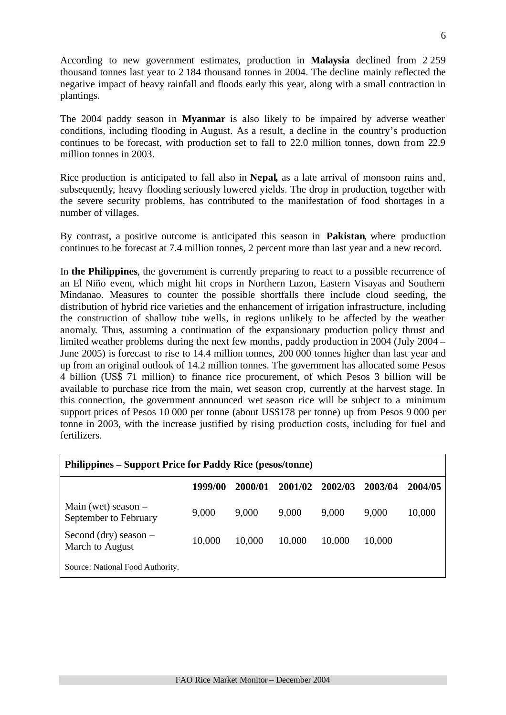According to new government estimates, production in **Malaysia** declined from 2 259 thousand tonnes last year to 2 184 thousand tonnes in 2004. The decline mainly reflected the negative impact of heavy rainfall and floods early this year, along with a small contraction in plantings.

The 2004 paddy season in **Myanmar** is also likely to be impaired by adverse weather conditions, including flooding in August. As a result, a decline in the country's production continues to be forecast, with production set to fall to 22.0 million tonnes, down from 22.9 million tonnes in 2003.

Rice production is anticipated to fall also in **Nepal,** as a late arrival of monsoon rains and, subsequently, heavy flooding seriously lowered yields. The drop in production, together with the severe security problems, has contributed to the manifestation of food shortages in a number of villages.

By contrast, a positive outcome is anticipated this season in **Pakistan**, where production continues to be forecast at 7.4 million tonnes, 2 percent more than last year and a new record.

In **the Philippines**, the government is currently preparing to react to a possible recurrence of an El Niño event, which might hit crops in Northern Luzon, Eastern Visayas and Southern Mindanao. Measures to counter the possible shortfalls there include cloud seeding, the distribution of hybrid rice varieties and the enhancement of irrigation infrastructure, including the construction of shallow tube wells, in regions unlikely to be affected by the weather anomaly. Thus, assuming a continuation of the expansionary production policy thrust and limited weather problems during the next few months, paddy production in 2004 (July 2004 – June 2005) is forecast to rise to 14.4 million tonnes, 200 000 tonnes higher than last year and up from an original outlook of 14.2 million tonnes. The government has allocated some Pesos 4 billion (US\$ 71 million) to finance rice procurement, of which Pesos 3 billion will be available to purchase rice from the main, wet season crop, currently at the harvest stage. In this connection, the government announced wet season rice will be subject to a minimum support prices of Pesos 10 000 per tonne (about US\$178 per tonne) up from Pesos 9 000 per tonne in 2003, with the increase justified by rising production costs, including for fuel and fertilizers.

| <b>Philippines – Support Price for Paddy Rice (pesos/tonne)</b> |         |         |         |         |         |         |  |  |  |  |
|-----------------------------------------------------------------|---------|---------|---------|---------|---------|---------|--|--|--|--|
|                                                                 | 1999/00 | 2000/01 | 2001/02 | 2002/03 | 2003/04 | 2004/05 |  |  |  |  |
| Main (wet) season $-$<br>September to February                  | 9,000   | 9,000   | 9,000   | 9,000   | 9,000   | 10,000  |  |  |  |  |
| Second (dry) season $-$<br>March to August                      | 10,000  | 10,000  | 10,000  | 10,000  | 10,000  |         |  |  |  |  |
| Source: National Food Authority.                                |         |         |         |         |         |         |  |  |  |  |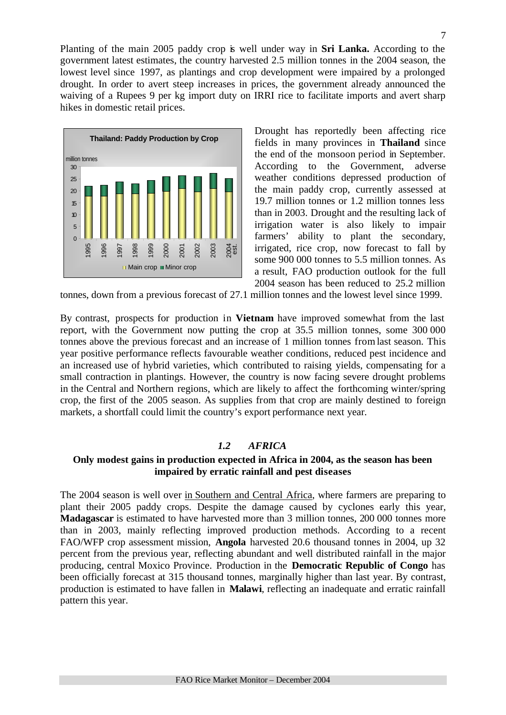Planting of the main 2005 paddy crop is well under way in **Sri Lanka.** According to the government latest estimates, the country harvested 2.5 million tonnes in the 2004 season, the lowest level since 1997, as plantings and crop development were impaired by a prolonged drought. In order to avert steep increases in prices, the government already announced the waiving of a Rupees 9 per kg import duty on IRRI rice to facilitate imports and avert sharp hikes in domestic retail prices.



Drought has reportedly been affecting rice fields in many provinces in **Thailand** since the end of the monsoon period in September. According to the Government, adverse weather conditions depressed production of the main paddy crop, currently assessed at 19.7 million tonnes or 1.2 million tonnes less than in 2003. Drought and the resulting lack of irrigation water is also likely to impair farmers' ability to plant the secondary, irrigated, rice crop, now forecast to fall by some 900 000 tonnes to 5.5 million tonnes. As a result, FAO production outlook for the full 2004 season has been reduced to 25.2 million

tonnes, down from a previous forecast of 27.1 million tonnes and the lowest level since 1999.

By contrast, prospects for production in **Vietnam** have improved somewhat from the last report, with the Government now putting the crop at 35.5 million tonnes, some 300 000 tonnes above the previous forecast and an increase of 1 million tonnes from last season. This year positive performance reflects favourable weather conditions, reduced pest incidence and an increased use of hybrid varieties, which contributed to raising yields, compensating for a small contraction in plantings. However, the country is now facing severe drought problems in the Central and Northern regions, which are likely to affect the forthcoming winter/spring crop, the first of the 2005 season. As supplies from that crop are mainly destined to foreign markets, a shortfall could limit the country's export performance next year.

#### *1.2 AFRICA*

#### **Only modest gains in production expected in Africa in 2004, as the season has been impaired by erratic rainfall and pest diseases**

The 2004 season is well over in Southern and Central Africa, where farmers are preparing to plant their 2005 paddy crops. Despite the damage caused by cyclones early this year, **Madagascar** is estimated to have harvested more than 3 million tonnes, 200 000 tonnes more than in 2003, mainly reflecting improved production methods. According to a recent FAO/WFP crop assessment mission, **Angola** harvested 20.6 thousand tonnes in 2004, up 32 percent from the previous year, reflecting abundant and well distributed rainfall in the major producing, central Moxico Province. Production in the **Democratic Republic of Congo** has been officially forecast at 315 thousand tonnes, marginally higher than last year. By contrast, production is estimated to have fallen in **Malawi**, reflecting an inadequate and erratic rainfall pattern this year.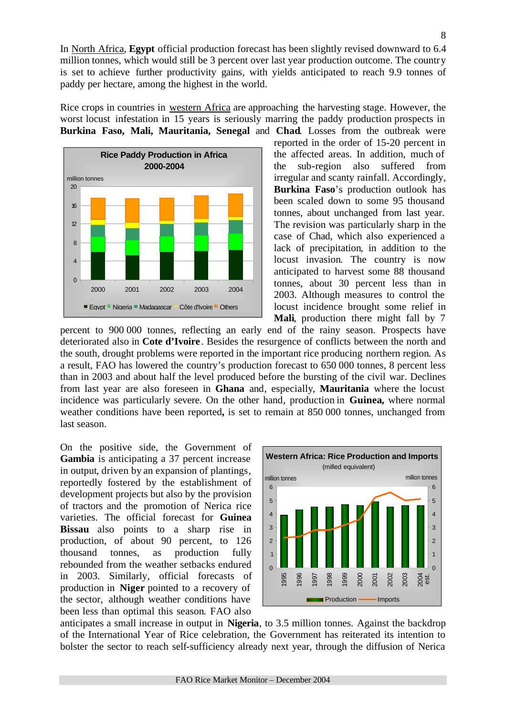In North Africa, **Egypt** official production forecast has been slightly revised downward to 6.4 million tonnes, which would still be 3 percent over last year production outcome. The country is set to achieve further productivity gains, with yields anticipated to reach 9.9 tonnes of paddy per hectare, among the highest in the world.

Rice crops in countries in western Africa are approaching the harvesting stage. However, the worst locust infestation in 15 years is seriously marring the paddy production prospects in **Burkina Faso, Mali, Mauritania, Senegal** and **Chad**. Losses from the outbreak were



reported in the order of 15-20 percent in the affected areas. In addition, much of the sub-region also suffered from irregular and scanty rainfall. Accordingly, **Burkina Faso**'s production outlook has been scaled down to some 95 thousand tonnes, about unchanged from last year. The revision was particularly sharp in the case of Chad, which also experienced a lack of precipitation, in addition to the locust invasion. The country is now anticipated to harvest some 88 thousand tonnes, about 30 percent less than in 2003. Although measures to control the locust incidence brought some relief in **Mali**, production there might fall by 7

percent to 900 000 tonnes, reflecting an early end of the rainy season. Prospects have deteriorated also in **Cote d'Ivoire**. Besides the resurgence of conflicts between the north and the south, drought problems were reported in the important rice producing northern region. As a result, FAO has lowered the country's production forecast to 650 000 tonnes, 8 percent less than in 2003 and about half the level produced before the bursting of the civil war. Declines from last year are also foreseen in **Ghana** and, especially, **Mauritania** where the locust incidence was particularly severe. On the other hand, production in **Guinea,** where normal weather conditions have been reported**,** is set to remain at 850 000 tonnes, unchanged from last season.

On the positive side, the Government of **Gambia** is anticipating a 37 percent increase in output, driven by an expansion of plantings, reportedly fostered by the establishment of development projects but also by the provision of tractors and the promotion of Nerica rice varieties. The official forecast for **Guinea Bissau** also points to a sharp rise in production, of about 90 percent, to 126 thousand tonnes, as production fully rebounded from the weather setbacks endured in 2003. Similarly, official forecasts of production in **Niger** pointed to a recovery of the sector, although weather conditions have been less than optimal this season. FAO also



anticipates a small increase in output in **Nigeria**, to 3.5 million tonnes. Against the backdrop of the International Year of Rice celebration, the Government has reiterated its intention to bolster the sector to reach self-sufficiency already next year, through the diffusion of Nerica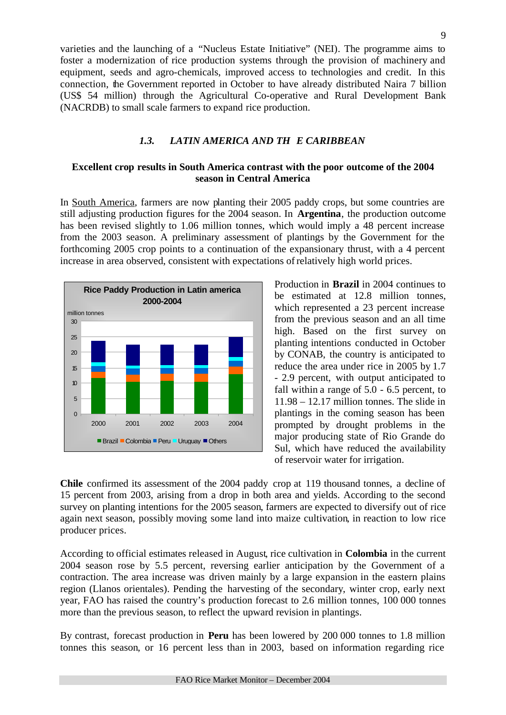varieties and the launching of a "Nucleus Estate Initiative" (NEI). The programme aims to foster a modernization of rice production systems through the provision of machinery and equipment, seeds and agro-chemicals, improved access to technologies and credit. In this connection, the Government reported in October to have already distributed Naira 7 billion (US\$ 54 million) through the Agricultural Co-operative and Rural Development Bank (NACRDB) to small scale farmers to expand rice production.

# *1.3. LATIN AMERICA AND TH E CARIBBEAN*

# **Excellent crop results in South America contrast with the poor outcome of the 2004 season in Central America**

In South America, farmers are now planting their 2005 paddy crops, but some countries are still adjusting production figures for the 2004 season. In **Argentina**, the production outcome has been revised slightly to 1.06 million tonnes, which would imply a 48 percent increase from the 2003 season. A preliminary assessment of plantings by the Government for the forthcoming 2005 crop points to a continuation of the expansionary thrust, with a 4 percent increase in area observed, consistent with expectations ofrelatively high world prices.



Production in **Brazil** in 2004 continues to be estimated at 12.8 million tonnes, which represented a 23 percent increase from the previous season and an all time high. Based on the first survey on planting intentions conducted in October by CONAB, the country is anticipated to reduce the area under rice in 2005 by 1.7 - 2.9 percent, with output anticipated to fall within a range of 5.0 - 6.5 percent, to 11.98 – 12.17 million tonnes. The slide in plantings in the coming season has been prompted by drought problems in the major producing state of Rio Grande do Sul, which have reduced the availability of reservoir water for irrigation.

**Chile** confirmed its assessment of the 2004 paddy crop at 119 thousand tonnes, a decline of 15 percent from 2003, arising from a drop in both area and yields. According to the second survey on planting intentions for the 2005 season, farmers are expected to diversify out of rice again next season, possibly moving some land into maize cultivation, in reaction to low rice producer prices.

According to official estimates released in August, rice cultivation in **Colombia** in the current 2004 season rose by 5.5 percent, reversing earlier anticipation by the Government of a contraction. The area increase was driven mainly by a large expansion in the eastern plains region (Llanos orientales). Pending the harvesting of the secondary, winter crop, early next year, FAO has raised the country's production forecast to 2.6 million tonnes, 100 000 tonnes more than the previous season, to reflect the upward revision in plantings.

By contrast, forecast production in **Peru** has been lowered by 200 000 tonnes to 1.8 million tonnes this season, or 16 percent less than in 2003, based on information regarding rice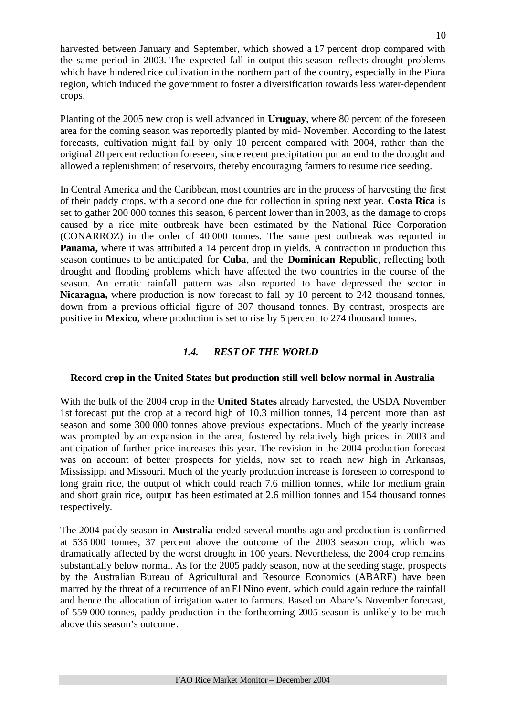harvested between January and September, which showed a 17 percent drop compared with the same period in 2003. The expected fall in output this season reflects drought problems which have hindered rice cultivation in the northern part of the country, especially in the Piura region, which induced the government to foster a diversification towards less water-dependent crops.

Planting of the 2005 new crop is well advanced in **Uruguay**, where 80 percent of the foreseen area for the coming season was reportedly planted by mid- November. According to the latest forecasts, cultivation might fall by only 10 percent compared with 2004, rather than the original 20 percent reduction foreseen, since recent precipitation put an end to the drought and allowed a replenishment of reservoirs, thereby encouraging farmers to resume rice seeding.

In Central America and the Caribbean, most countries are in the process of harvesting the first of their paddy crops, with a second one due for collection in spring next year. **Costa Rica** is set to gather 200 000 tonnes this season, 6 percent lower than in 2003, as the damage to crops caused by a rice mite outbreak have been estimated by the National Rice Corporation (CONARROZ) in the order of 40 000 tonnes. The same pest outbreak was reported in **Panama,** where it was attributed a 14 percent drop in yields. A contraction in production this season continues to be anticipated for **Cuba**, and the **Dominican Republic**, reflecting both drought and flooding problems which have affected the two countries in the course of the season. An erratic rainfall pattern was also reported to have depressed the sector in **Nicaragua,** where production is now forecast to fall by 10 percent to 242 thousand tonnes, down from a previous official figure of 307 thousand tonnes. By contrast, prospects are positive in **Mexico**, where production is set to rise by 5 percent to 274 thousand tonnes.

# *1.4. REST OF THE WORLD*

#### **Record crop in the United States but production still well below normal in Australia**

With the bulk of the 2004 crop in the **United States** already harvested, the USDA November 1st forecast put the crop at a record high of 10.3 million tonnes, 14 percent more than last season and some 300 000 tonnes above previous expectations. Much of the yearly increase was prompted by an expansion in the area, fostered by relatively high prices in 2003 and anticipation of further price increases this year. The revision in the 2004 production forecast was on account of better prospects for yields, now set to reach new high in Arkansas, Mississippi and Missouri. Much of the yearly production increase is foreseen to correspond to long grain rice, the output of which could reach 7.6 million tonnes, while for medium grain and short grain rice, output has been estimated at 2.6 million tonnes and 154 thousand tonnes respectively.

The 2004 paddy season in **Australia** ended several months ago and production is confirmed at 535 000 tonnes, 37 percent above the outcome of the 2003 season crop, which was dramatically affected by the worst drought in 100 years. Nevertheless, the 2004 crop remains substantially below normal. As for the 2005 paddy season, now at the seeding stage, prospects by the Australian Bureau of Agricultural and Resource Economics (ABARE) have been marred by the threat of a recurrence of an El Nino event, which could again reduce the rainfall and hence the allocation of irrigation water to farmers. Based on Abare's November forecast, of 559 000 tonnes, paddy production in the forthcoming 2005 season is unlikely to be much above this season's outcome.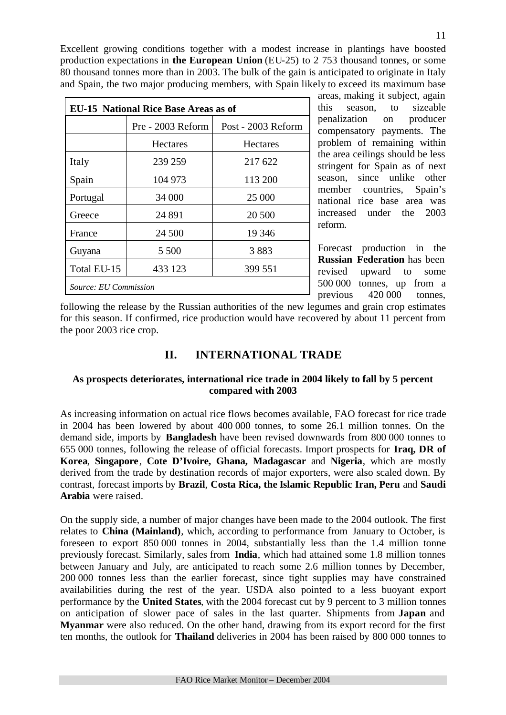Excellent growing conditions together with a modest increase in plantings have boosted production expectations in **the European Union** (EU-25) to 2 753 thousand tonnes, or some 80 thousand tonnes more than in 2003. The bulk of the gain is anticipated to originate in Italy and Spain, the two major producing members, with Spain likely to exceed its maximum base

| <b>EU-15 National Rice Base Areas as of</b> |                   |                    |  |  |  |  |  |
|---------------------------------------------|-------------------|--------------------|--|--|--|--|--|
|                                             | Pre - 2003 Reform | Post - 2003 Reform |  |  |  |  |  |
|                                             | Hectares          | <b>Hectares</b>    |  |  |  |  |  |
| Italy                                       | 239 259           | 217 622            |  |  |  |  |  |
| Spain                                       | 104 973           | 113 200            |  |  |  |  |  |
| Portugal                                    | 34 000            | 25 000             |  |  |  |  |  |
| Greece                                      | 24 891            | 20 500             |  |  |  |  |  |
| France                                      | 24 500            | 19 3 46            |  |  |  |  |  |
| Guyana                                      | 5 500             | 3883               |  |  |  |  |  |
| Total EU-15                                 | 433 123           | 399 551            |  |  |  |  |  |
| Source: EU Commission                       |                   |                    |  |  |  |  |  |

areas, making it subject, again this season, to sizeable penalization on producer compensatory payments. The problem of remaining within the area ceilings should be less stringent for Spain as of next season, since unlike other member countries, Spain's national rice base area was increased under the 2003 reform.

Forecast production in the **Russian Federation** has been revised upward to some 500 000 tonnes, up from a previous 420 000 tonnes,

following the release by the Russian authorities of the new legumes and grain crop estimates for this season. If confirmed, rice production would have recovered by about 11 percent from the poor 2003 rice crop.

# **II. INTERNATIONAL TRADE**

# **As prospects deteriorates, international rice trade in 2004 likely to fall by 5 percent compared with 2003**

As increasing information on actual rice flows becomes available, FAO forecast for rice trade in 2004 has been lowered by about 400 000 tonnes, to some 26.1 million tonnes. On the demand side, imports by **Bangladesh** have been revised downwards from 800 000 tonnes to 655 000 tonnes, following the release of official forecasts. Import prospects for **Iraq, DR of Korea**, **Singapore**, **Cote D'Ivoire, Ghana, Madagascar** and **Nigeria**, which are mostly derived from the trade by destination records of major exporters, were also scaled down. By contrast, forecast imports by **Brazil**, **Costa Rica, the Islamic Republic Iran, Peru** and **Saudi Arabia** were raised.

On the supply side, a number of major changes have been made to the 2004 outlook. The first relates to **China (Mainland)**, which, according to performance from January to October, is foreseen to export 850 000 tonnes in 2004, substantially less than the 1.4 million tonne previously forecast. Similarly, sales from **India**, which had attained some 1.8 million tonnes between January and July, are anticipated to reach some 2.6 million tonnes by December, 200 000 tonnes less than the earlier forecast, since tight supplies may have constrained availabilities during the rest of the year. USDA also pointed to a less buoyant export performance by the **United States**, with the 2004 forecast cut by 9 percent to 3 million tonnes on anticipation of slower pace of sales in the last quarter. Shipments from **Japan** and **Myanmar** were also reduced. On the other hand, drawing from its export record for the first ten months, the outlook for **Thailand** deliveries in 2004 has been raised by 800 000 tonnes to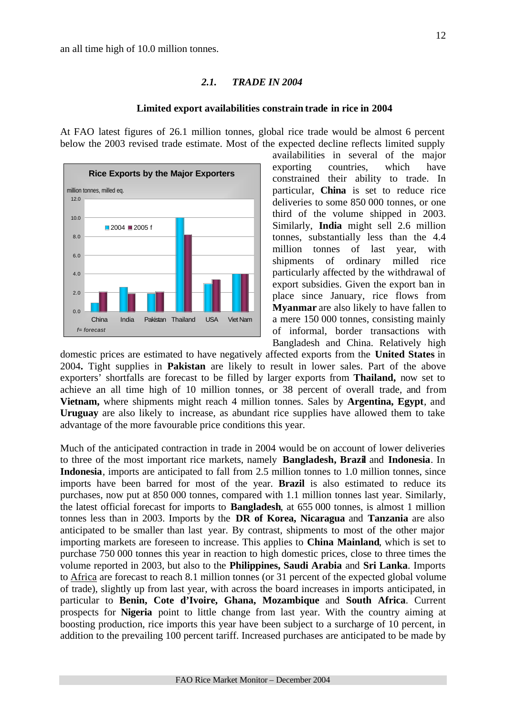#### *2.1. TRADE IN 2004*

#### **Limited export availabilities constrain trade in rice in 2004**

At FAO latest figures of 26.1 million tonnes, global rice trade would be almost 6 percent below the 2003 revised trade estimate. Most of the expected decline reflects limited supply



availabilities in several of the major exporting countries, which have constrained their ability to trade. In particular, **China** is set to reduce rice deliveries to some 850 000 tonnes, or one third of the volume shipped in 2003. Similarly, **India** might sell 2.6 million tonnes, substantially less than the 4.4 million tonnes of last year, with shipments of ordinary milled rice particularly affected by the withdrawal of export subsidies. Given the export ban in place since January, rice flows from **Myanmar** are also likely to have fallen to a mere 150 000 tonnes, consisting mainly of informal, border transactions with Bangladesh and China. Relatively high

domestic prices are estimated to have negatively affected exports from the **United States** in 2004**.** Tight supplies in **Pakistan** are likely to result in lower sales. Part of the above exporters' shortfalls are forecast to be filled by larger exports from **Thailand,** now set to achieve an all time high of 10 million tonnes, or 38 percent of overall trade, and from **Vietnam,** where shipments might reach 4 million tonnes. Sales by **Argentina, Egypt**, and **Uruguay** are also likely to increase, as abundant rice supplies have allowed them to take advantage of the more favourable price conditions this year.

Much of the anticipated contraction in trade in 2004 would be on account of lower deliveries to three of the most important rice markets, namely **Bangladesh, Brazil** and **Indonesia**. In **Indonesia**, imports are anticipated to fall from 2.5 million tonnes to 1.0 million tonnes, since imports have been barred for most of the year. **Brazil** is also estimated to reduce its purchases, now put at 850 000 tonnes, compared with 1.1 million tonnes last year. Similarly, the latest official forecast for imports to **Bangladesh**, at 655 000 tonnes, is almost 1 million tonnes less than in 2003. Imports by the **DR of Korea, Nicaragua** and **Tanzania** are also anticipated to be smaller than last year. By contrast, shipments to most of the other major importing markets are foreseen to increase. This applies to **China Mainland**, which is set to purchase 750 000 tonnes this year in reaction to high domestic prices, close to three times the volume reported in 2003, but also to the **Philippines, Saudi Arabia** and **Sri Lanka**. Imports to Africa are forecast to reach 8.1 million tonnes (or 31 percent of the expected global volume of trade), slightly up from last year, with across the board increases in imports anticipated, in particular to **Benin, Cote d'Ivoire, Ghana, Mozambique** and **South Africa**. Current prospects for **Nigeria** point to little change from last year. With the country aiming at boosting production, rice imports this year have been subject to a surcharge of 10 percent, in addition to the prevailing 100 percent tariff. Increased purchases are anticipated to be made by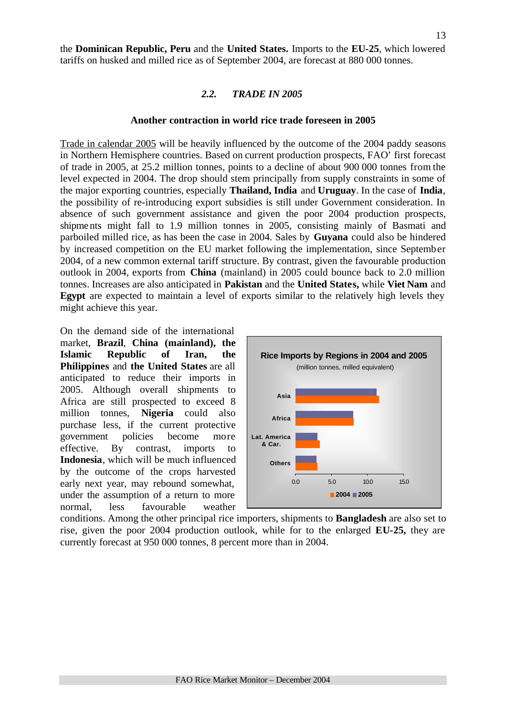the **Dominican Republic, Peru** and the **United States.** Imports to the **EU-25**, which lowered tariffs on husked and milled rice as of September 2004, are forecast at 880 000 tonnes.

#### *2.2. TRADE IN 2005*

#### **Another contraction in world rice trade foreseen in 2005**

Trade in calendar 2005 will be heavily influenced by the outcome of the 2004 paddy seasons in Northern Hemisphere countries. Based on current production prospects, FAO' first forecast of trade in 2005, at 25.2 million tonnes, points to a decline of about 900 000 tonnes from the level expected in 2004. The drop should stem principally from supply constraints in some of the major exporting countries, especially **Thailand, India** and **Uruguay**. In the case of **India**, the possibility of re-introducing export subsidies is still under Government consideration. In absence of such government assistance and given the poor 2004 production prospects, shipme nts might fall to 1.9 million tonnes in 2005, consisting mainly of Basmati and parboiled milled rice, as has been the case in 2004. Sales by **Guyana** could also be hindered by increased competition on the EU market following the implementation, since September 2004, of a new common external tariff structure. By contrast, given the favourable production outlook in 2004, exports from **China** (mainland) in 2005 could bounce back to 2.0 million tonnes. Increases are also anticipated in **Pakistan** and the **United States,** while **Viet Nam** and **Egypt** are expected to maintain a level of exports similar to the relatively high levels they might achieve this year.

On the demand side of the international market, **Brazil**, **China (mainland), the Islamic Republic of Iran, the Philippines** and **the United States** are all anticipated to reduce their imports in 2005. Although overall shipments to Africa are still prospected to exceed 8 million tonnes, **Nigeria** could also purchase less, if the current protective government policies become more effective. By contrast, imports to **Indonesia**, which will be much influenced by the outcome of the crops harvested early next year, may rebound somewhat, under the assumption of a return to more normal, less favourable weather



conditions. Among the other principal rice importers, shipments to **Bangladesh** are also set to rise, given the poor 2004 production outlook, while for to the enlarged **EU-25,** they are currently forecast at 950 000 tonnes, 8 percent more than in 2004.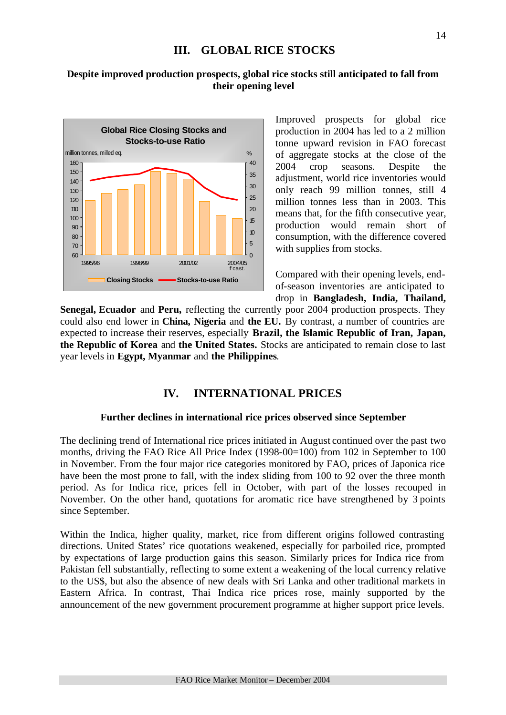# **III. GLOBAL RICE STOCKS**

14

# **Despite improved production prospects, global rice stocks still anticipated to fall from their opening level**



Improved prospects for global rice production in 2004 has led to a 2 million tonne upward revision in FAO forecast of aggregate stocks at the close of the 2004 crop seasons. Despite the adjustment, world rice inventories would only reach 99 million tonnes, still 4 million tonnes less than in 2003. This means that, for the fifth consecutive year, production would remain short of consumption, with the difference covered with supplies from stocks.

Compared with their opening levels, endof-season inventories are anticipated to drop in **Bangladesh, India, Thailand,**

Senegal, Ecuador and Peru, reflecting the currently poor 2004 production prospects. They could also end lower in **China, Nigeria** and **the EU.** By contrast, a number of countries are expected to increase their reserves, especially **Brazil, the Islamic Republic of Iran, Japan, the Republic of Korea** and **the United States.** Stocks are anticipated to remain close to last year levels in **Egypt, Myanmar** and **the Philippines**.

# **IV. INTERNATIONAL PRICES**

# **Further declines in international rice prices observed since September**

The declining trend of International rice prices initiated in August continued over the past two months, driving the FAO Rice All Price Index (1998-00=100) from 102 in September to 100 in November. From the four major rice categories monitored by FAO, prices of Japonica rice have been the most prone to fall, with the index sliding from 100 to 92 over the three month period. As for Indica rice, prices fell in October, with part of the losses recouped in November. On the other hand, quotations for aromatic rice have strengthened by 3 points since September.

Within the Indica, higher quality, market, rice from different origins followed contrasting directions. United States' rice quotations weakened, especially for parboiled rice, prompted by expectations of large production gains this season. Similarly prices for Indica rice from Pakistan fell substantially, reflecting to some extent a weakening of the local currency relative to the US\$, but also the absence of new deals with Sri Lanka and other traditional markets in Eastern Africa. In contrast, Thai Indica rice prices rose, mainly supported by the announcement of the new government procurement programme at higher support price levels.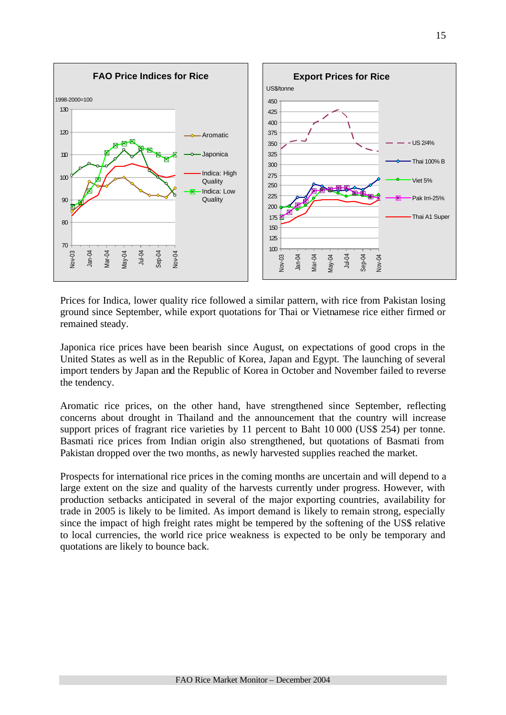

Prices for Indica, lower quality rice followed a similar pattern, with rice from Pakistan losing ground since September, while export quotations for Thai or Vietnamese rice either firmed or remained steady.

Japonica rice prices have been bearish since August, on expectations of good crops in the United States as well as in the Republic of Korea, Japan and Egypt. The launching of several import tenders by Japan and the Republic of Korea in October and November failed to reverse the tendency.

Aromatic rice prices, on the other hand, have strengthened since September, reflecting concerns about drought in Thailand and the announcement that the country will increase support prices of fragrant rice varieties by 11 percent to Baht 10 000 (US\$ 254) per tonne. Basmati rice prices from Indian origin also strengthened, but quotations of Basmati from Pakistan dropped over the two months, as newly harvested supplies reached the market.

Prospects for international rice prices in the coming months are uncertain and will depend to a large extent on the size and quality of the harvests currently under progress. However, with production setbacks anticipated in several of the major exporting countries, availability for trade in 2005 is likely to be limited. As import demand is likely to remain strong, especially since the impact of high freight rates might be tempered by the softening of the US\$ relative to local currencies, the world rice price weakness is expected to be only be temporary and quotations are likely to bounce back.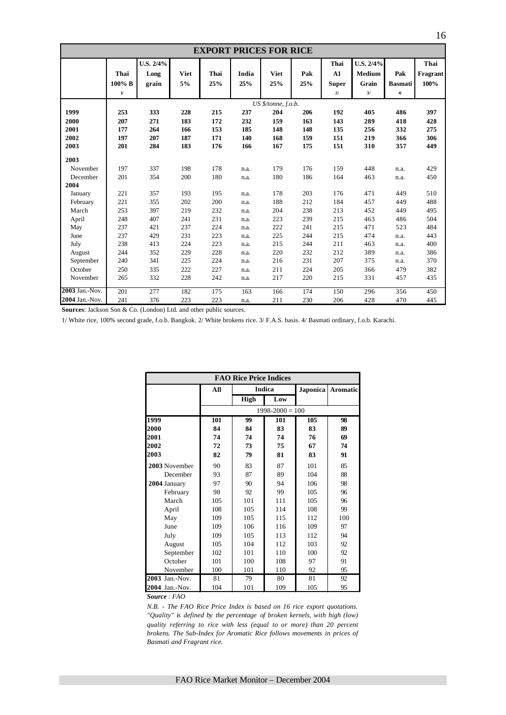| <b>EXPORT PRICES FOR RICE</b> |              |           |             |      |       |                     |     |              |           |                |          |
|-------------------------------|--------------|-----------|-------------|------|-------|---------------------|-----|--------------|-----------|----------------|----------|
|                               |              | U.S. 2/4% |             |      |       |                     |     | Thai         | U.S. 2/4% |                | Thai     |
|                               | Thai         | Long      | <b>Viet</b> | Thai | India | <b>Viet</b>         | Pak | A1           | Medium    | Pak            | Fragrant |
|                               | 100% B       | grain     | 5%          | 25%  | 25%   | 25%                 | 25% | <b>Super</b> | Grain     | <b>Basmati</b> | 100%     |
|                               | $\mathbf{1}$ |           |             |      |       |                     |     | 21           | 3/        | $\overline{4}$ |          |
|                               |              |           |             |      |       | US \$/tonne, f.o.b. |     |              |           |                |          |
| 1999                          | 253          | 333       | 228         | 215  | 237   | 204                 | 206 | 192          | 405       | 486            | 397      |
| 2000                          | 207          | 271       | 183         | 172  | 232   | 159                 | 163 | 143          | 289       | 418            | 428      |
| 2001                          | 177          | 264       | 166         | 153  | 185   | 148                 | 148 | 135          | 256       | 332            | 275      |
| 2002                          | 197          | 207       | 187         | 171  | 140   | 168                 | 159 | 151          | 219       | 366            | 306      |
| 2003                          | 201          | 284       | 183         | 176  | 166   | 167                 | 175 | 151          | 310       | 357            | 449      |
| 2003                          |              |           |             |      |       |                     |     |              |           |                |          |
| November                      | 197          | 337       | 198         | 178  | n.a.  | 179                 | 176 | 159          | 448       | n.a.           | 429      |
| December                      | 201          | 354       | 200         | 180  | n.a.  | 180                 | 186 | 164          | 463       | n.a.           | 450      |
| 2004                          |              |           |             |      |       |                     |     |              |           |                |          |
| January                       | 221          | 357       | 193         | 195  | n.a.  | 178                 | 203 | 176          | 471       | 449            | 510      |
| February                      | 221          | 355       | 202         | 200  | n.a.  | 188                 | 212 | 184          | 457       | 449            | 488      |
| March                         | 253          | 397       | 219         | 232  | n.a.  | 204                 | 238 | 213          | 452       | 449            | 495      |
| April                         | 248          | 407       | 241         | 231  | n.a.  | 223                 | 239 | 215          | 463       | 486            | 504      |
| May                           | 237          | 421       | 237         | 224  | n.a.  | 222                 | 241 | 215          | 471       | 523            | 484      |
| June                          | 237          | 429       | 231         | 223  | n.a.  | 225                 | 244 | 215          | 474       | n.a.           | 443      |
| July                          | 238          | 413       | 224         | 223  | n.a.  | 215                 | 244 | 211          | 463       | n.a.           | 400      |
| August                        | 244          | 352       | 229         | 228  | n.a.  | 220                 | 232 | 212          | 389       | n.a.           | 386      |
| September                     | 240          | 341       | 225         | 224  | n.a.  | 216                 | 231 | 207          | 375       | n.a.           | 370      |
| October                       | 250          | 335       | 222         | 227  | n.a.  | 211                 | 224 | 205          | 366       | 479            | 382      |
| November                      | 265          | 332       | 228         | 242  | n.a.  | 217                 | 220 | 215          | 331       | 457            | 435      |
| 2003 Jan.-Nov.                | 201          | 277       | 182         | 175  | 163   | 166                 | 174 | 150          | 296       | 356            | 450      |
| 2004 Jan.-Nov.                | 241          | 376       | 223         | 223  | n.a.  | 211                 | 230 | 206          | 428       | 470            | 445      |

**Sources**: Jackson Son & Co. (London) Ltd. and other public sources.

1/ White rice, 100% second grade, f.o.b. Bangkok. 2/ White brokens rice. 3/ F.A.S. basis. 4/ Basmati ordinary, f.o.b. Karachi.

| <b>FAO Rice Price Indices</b> |     |      |                     |                 |                 |  |  |  |  |
|-------------------------------|-----|------|---------------------|-----------------|-----------------|--|--|--|--|
|                               | All |      | <b>Indica</b>       | <b>Japonica</b> | <b>Aromatic</b> |  |  |  |  |
|                               |     | High | Low                 |                 |                 |  |  |  |  |
|                               |     |      | $1998 - 2000 = 100$ |                 |                 |  |  |  |  |
| 1999                          | 101 | 99   | 101                 | 105             | 98              |  |  |  |  |
| 2000                          | 84  | 84   | 83                  | 83              | 89              |  |  |  |  |
| 2001                          | 74  | 74   | 74                  | 76              | 69              |  |  |  |  |
| 2002                          | 72  | 73   | 75                  | 67              | 74              |  |  |  |  |
| 2003                          | 82  | 79   | 81                  | 83              | 91              |  |  |  |  |
| 2003 November                 | 90  | 83   | 87                  | 101             | 85              |  |  |  |  |
| December                      | 93  | 87   | 89                  | 104             | 88              |  |  |  |  |
| 2004 January                  | 97  | 90   | 94                  | 106             | 98              |  |  |  |  |
| February                      | 98  | 92   | 99                  | 105             | 96              |  |  |  |  |
| March                         | 105 | 101  | 111                 | 105             | 96              |  |  |  |  |
| April                         | 108 | 105  | 114                 | 108             | 99              |  |  |  |  |
| May                           | 109 | 105  | 115                 | 112             | 100             |  |  |  |  |
| June                          | 109 | 106  | 116                 | 109             | 97              |  |  |  |  |
| July                          | 109 | 105  | 113                 | 112             | 94              |  |  |  |  |
| August                        | 105 | 104  | 112                 | 103             | 92              |  |  |  |  |
| September                     | 102 | 101  | 110                 | 100             | 92              |  |  |  |  |
| October                       | 101 | 100  | 108                 | 97              | 91              |  |  |  |  |
| November                      | 100 | 101  | 110                 | 92              | 95              |  |  |  |  |
| 2003 Jan.-Nov.                | 81  | 79   | 80                  | 81              | 92              |  |  |  |  |
| 2004 Jan.-Nov.                | 104 | 101  | 109                 | 105             | 95              |  |  |  |  |

*Source : FAO* 

*N.B. - The FAO Rice Price Index is based on 16 rice export quotations. "Quality" is defined by the percentage of broken kernels, with high (low) quality referring to rice with less (equal to or more) than 20 percent brokens. The Sub-Index for Aromatic Rice follows movements in prices of Basmati and Fragrant rice.*

16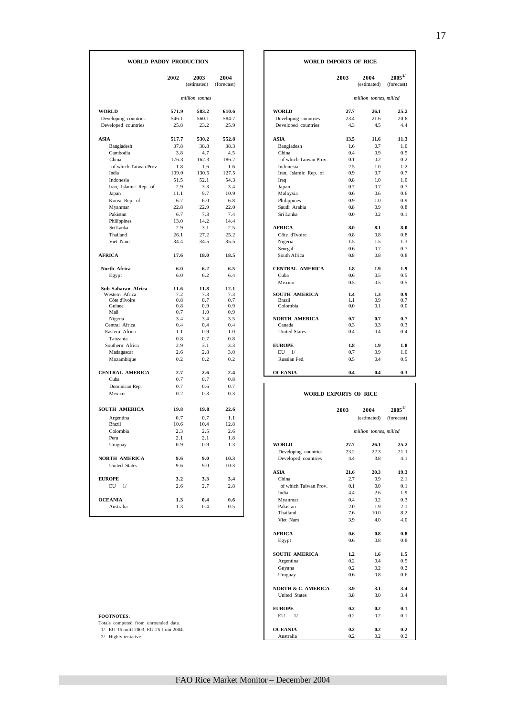#### **WORLD PADDY PRODUCTION WORLD IMPORTS OF RICE**

| WORLD PADDY PRODUCTION  |            |                     |                    | WORLD IMPORTS OF RICE        |            |                        |                            |
|-------------------------|------------|---------------------|--------------------|------------------------------|------------|------------------------|----------------------------|
|                         | 2002       | 2003<br>(estimated) | 2004<br>(forecast) |                              | 2003       | 2004<br>(estimated)    | $2005^{2/3}$<br>(forecast) |
|                         |            | million tonnes      |                    |                              |            | million tonnes, milled |                            |
| <b>WORLD</b>            | 571.9      | 583.2               | 610.6              | <b>WORLD</b>                 | 27.7       | 26.1                   | 25.2                       |
| Developing countries    | 546.1      | 560.1               | 584.7              | Developing countries         | 23.4       | 21.6                   | 20.8                       |
| Developed countries     | 25.8       | 23.2                | 25.9               | Developed countries          | 4.3        | 4.5                    | 4.4                        |
| ASIA                    | 517.7      | 530.2               | 552.8              | ASIA                         | 13.5       | 11.6                   | 11.3                       |
| Bangladesh              | 37.8       | 38.8                | 38.3               | Bangladesh                   | 1.6        | 0.7                    | 1.0                        |
| Cambodia                | 3.8        | 4.7                 | 4.5                | China                        | 0.4        | 0.9                    | 0.5                        |
| China                   | 176.3      | 162.3               | 186.7              | of which Taiwan Prov.        | 0.1        | 0.2                    | 0.2                        |
| of which Taiwan Prov    | 1.8        | 1.6                 | 1.6                | Indonesia                    | 2.5        | 1.0                    | 1.2                        |
| India                   | 109.0      | 130.5               | 127.5              | Iran, Islamic Rep. of        | 0.9        | 0.7                    | 0.7                        |
| Indonesia               | 51.5       | 52.1                | 54.3               | Iraq                         | 0.8        | 1.0                    | 1.0                        |
| Iran, Islamic Rep. of   | 2.9        | 3.3                 | 3.4                | Japan                        | 0.7        | 0.7                    | 0.7                        |
| Japan                   | 11.1       | 9.7                 | 10.9               | Malaysia                     | 0.6        | 0.6                    | 0.6                        |
| Korea Rep. of           | 6.7        | 6.0                 | 6.8                | Philippines                  | 0.9        | 1.0                    | 0.9                        |
| Myanmar                 | 22.8       | 22.9                | 22.0               | Saudi Arabia                 | 0.8        | 0.9                    | 0.8                        |
| Pakistan                | 6.7        | 7.3                 | 7.4                | Sri Lanka                    | 0.0        | 0.2                    | 0.1                        |
| Philippines             | 13.0       | 14.2                | 14.4               |                              |            |                        |                            |
| Sri Lanka               | 2.9        | 3.1                 | 2.5                | <b>AFRICA</b>                | 8.0        | 8.1                    | 8.0                        |
| Thailand                | 26.1       | 27.2                | 25.2               | Côte d'Ivoire                | 0.8        | 0.8                    | 0.8                        |
| Viet Nam                | 34.4       | 34.5                | 35.5               | Nigeria                      | 1.5        | 1.5                    | 1.3                        |
|                         |            |                     |                    | Senegal                      | 0.6        | 0.7                    | 0.7                        |
| <b>AFRICA</b>           | 17.6       | 18.0                | 18.5               | South Africa                 | 0.8        | 0.8                    | 0.8                        |
| North Africa            | 6.0        | 6.2                 | 6.5                | <b>CENTRAL AMERICA</b>       | 1.8        | 1.9                    | 1.9                        |
| Egypt                   | 6.0        | 6.2                 | 6.4                | Cuba                         | 0.6        | 0.5                    | 0.5                        |
|                         |            |                     |                    | Mexico                       | 0.5        | 0.5                    | 0.5                        |
| Sub-Saharan Africa      | 11.6       | 11.8                | 12.1               |                              |            |                        |                            |
| Western Africa          | 7.2        | 7.3                 | 7.3                | <b>SOUTH AMERICA</b>         | 1.4        | 1.3                    | 0.9                        |
| Côte d'Ivoire<br>Guinea | 0.8<br>0.8 | 0.7<br>0.9          | 0.7<br>0.9         | <b>Brazil</b><br>Colombia    | 1.1<br>0.0 | 0.9<br>0.1             | 0.7<br>0.0                 |
| Mali                    | 0.7        | 1.0                 | 0.9                |                              |            |                        |                            |
| Nigeria                 | 3.4        | 3.4                 | 3.5                | <b>NORTH AMERICA</b>         | 0.7        | 0.7                    | 0.7                        |
| Central Africa          | 0.4        | 0.4                 | 0.4                | Canada                       | 0.3        | 0.3                    | 0.3                        |
| Eastern Africa          | 1.1        | 0.9                 | 1.0                | <b>United States</b>         | 0.4        | 0.4                    | 0.4                        |
| Tanzania                | 0.8        | 0.7                 | 0.8                |                              |            |                        |                            |
| Southern Africa         | 2.9        | 3.1                 | 3.3                | <b>EUROPE</b>                | 1.8        | 1.9                    | 1.8                        |
| Madagascar              | 2.6        | 2.8                 | 3.0                | EU<br>1/                     | 0.7        | 0.9                    | 1.0                        |
| Mozambique              | 0.2        | 0.2                 | 0.2                | Russian Fed.                 | 0.5        | 0.4                    | 0.5                        |
| <b>CENTRAL AMERICA</b>  | 2.7        | 2.6                 | 2.4                | <b>OCEANIA</b>               | 0.4        | 0.4                    | 0.3                        |
| Cuba                    | 0.7        | 0.7                 | 0.8                |                              |            |                        |                            |
| Dominican Rep.          | 0.7        | 0.6                 | 0.7                |                              |            |                        |                            |
| Mexico                  | 0.2        | 0.3                 | 0.3                | <b>WORLD EXPORTS OF RICE</b> |            |                        |                            |
| SOUTH AMERICA           | 19.8       | 19.8                | 22.6               |                              |            |                        | $\mathbf{2005}^{2/}$       |
|                         |            |                     |                    |                              | 2003       | 2004                   |                            |
| Argentina               | 0.7        | 0.7                 | 1.1                |                              |            | (estimated)            | (forecast)                 |
| <b>Brazil</b>           | 10.6       | 10.4                | 12.8               |                              |            |                        |                            |
| Colombia                | 2.3        | 2.5                 | 2.6                |                              |            | million tonnes, milled |                            |
| Peru                    | 2.1        | 2.1                 | 1.8                |                              |            |                        |                            |
| Uruguay                 | 0.9        | 0.9                 | 1.3                | WORLD                        | 27.7       | 26.1                   | 25.2                       |
|                         |            |                     |                    | Developing countries         | 23.2       | 22.3                   | 21.1                       |
| <b>NORTH AMERICA</b>    | 9.6        | 9.0                 | 10.3               | Developed countries          | 4.4        | 3.8                    | 4.1                        |
| United States           | 9.6        | 9.0                 | 10.3               | ASIA                         | 21.6       | 20.3                   | 19.3                       |
| <b>EUROPE</b>           | 3.2        | 3.3                 | 3.4                | China                        | 2.7        | 0.9                    | 2.1                        |
| $EU$ $1/$               | 2.6        | 2.7                 | 2.8                | of which Taiwan Prov.        | 0.1        | 0.0                    | 0.1                        |
|                         |            |                     |                    | India                        | 4.4        | 2.6                    | 1.9                        |
| <b>OCEANIA</b>          | 1.3        | 0.4                 | 0.6                | Myanmar                      | 0.4        | 0.2                    | 0.3                        |
| Australia               | 1.3        | 0.4                 | 0.5                | Pakistan                     | 2.0        | 1.9                    | 2.1                        |
|                         |            |                     |                    | Thailand                     | 7.6        | 10.0                   | 8.2                        |
|                         |            |                     |                    |                              |            |                        |                            |

| 2002          | 2003           | 2004       |                                       | 2003       | 2004                   | $2005^{2/3}$ |
|---------------|----------------|------------|---------------------------------------|------------|------------------------|--------------|
|               | (estimated)    | (forecast) |                                       |            | (estimated)            | (forecast)   |
|               | million tonnes |            |                                       |            | million tonnes, milled |              |
|               |                |            |                                       |            |                        |              |
| 571.9         | 583.2          | 610.6      | <b>WORLD</b>                          | 27.7       | 26.1                   | 25.2         |
| 546.1         | 560.1          | 584.7      | Developing countries                  | 23.4       | 21.6                   | 20.8         |
| 25.8          | 23.2           | 25.9       | Developed countries                   | 4.3        | 4.5                    | 4.4          |
| 517.7         | 530.2          | 552.8      | <b>ASIA</b>                           | 13.5       | 11.6                   | 11.3         |
| 37.8          | 38.8           | 38.3       | Bangladesh                            | 1.6        | 0.7                    | 1.0          |
| 3.8           | 4.7            | 4.5        | China                                 | 0.4        | 0.9                    | 0.5          |
| 176.3         | 162.3          | 186.7      | of which Taiwan Prov.                 | 0.1        | 0.2                    | 0.2          |
| 1.8           | 1.6            | 1.6        | Indonesia                             | 2.5        | 1.0                    | 1.2          |
| 109.0         | 130.5          | 127.5      | Iran, Islamic Rep. of                 | 0.9        | 0.7                    | 0.7          |
| 51.5          | 52.1           | 54.3       | Iraq                                  | 0.8        | 1.0                    | 1.0          |
| 2.9           | 3.3            | 3.4        | Japan                                 | 0.7        | 0.7                    | 0.7          |
| 11.1          | 9.7            | 10.9       | Malaysia                              | 0.6        | 0.6                    | 0.6          |
| 6.7           | 6.0            | 6.8        | Philippines                           | 0.9        | 1.0                    | 0.9          |
| 22.8          | 22.9           | 22.0       | Saudi Arabia                          | 0.8        | 0.9                    | 0.8          |
| 6.7           | 7.3            | 7.4        | Sri Lanka                             | 0.0        | 0.2                    | 0.1          |
| 13.0          | 14.2           | 14.4       |                                       |            |                        |              |
| 2.9           | 3.1            | 2.5        | <b>AFRICA</b>                         | 8.0        | 8.1                    | 8.0          |
| 26.1          | 27.2           | 25.2       | Côte d'Ivoire                         | 0.8        | 0.8                    | 0.8          |
| 34.4          | 34.5           | 35.5       | Nigeria                               | 1.5        | 1.5                    | 1.3          |
|               |                |            | Senegal                               | 0.6        | 0.7                    | 0.7          |
| 17.6          | 18.0           | 18.5       | South Africa                          | 0.8        | 0.8                    | 0.8          |
| 6.0           | 6.2            | 6.5        | <b>CENTRAL AMERICA</b>                | 1.8        | 1.9                    | 1.9          |
| 6.0           | 6.2            | 6.4        | Cuba                                  | 0.6        | 0.5                    | 0.5          |
|               |                |            | Mexico                                | 0.5        | 0.5                    | 0.5          |
| 11.6          | 11.8           | 12.1       |                                       |            |                        |              |
| 7.2<br>0.8    | 7.3<br>0.7     | 7.3<br>0.7 | <b>SOUTH AMERICA</b><br><b>Brazil</b> | 1.4<br>1.1 | 1.3<br>0.9             | 0.9<br>0.7   |
| 0.8           | 0.9            | 0.9        | Colombia                              | 0.0        | 0.1                    | 0.0          |
| 0.7           | 1.0            | 0.9        |                                       |            |                        |              |
| 3.4           | 3.4            | 3.5        | <b>NORTH AMERICA</b>                  | 0.7        | 0.7                    | 0.7          |
| 0.4           | 0.4            | 0.4        | Canada                                | 0.3        | 0.3                    | 0.3          |
| 1.1           | 0.9            | 1.0        | <b>United States</b>                  | 0.4        | 0.4                    | 0.4          |
| 0.8           | 0.7            | 0.8        |                                       |            |                        |              |
| 2.9           | 3.1            | 3.3        | <b>EUROPE</b>                         | 1.8        | 1.9                    | 1.8          |
| 2.6           | 2.8            | 3.0        | EU<br>$\frac{1}{2}$                   | 0.7        | 0.9                    | 1.0          |
| 0.2           | 0.2            | 0.2        | Russian Fed.                          | 0.5        | 0.4                    | 0.5          |
| 2.7           | 2.6            | 2.4        | <b>OCEANIA</b>                        | 0.4        | 0.4                    | 0.3          |
| $\sim$ $\sim$ | $\sim$ $\sim$  | $\alpha$   |                                       |            |                        |              |

#### **WORLD EXPORTS OF RICE**

| SOUTH AMERICA                         | 19.8 | 19.8 | 22.6 |                               | 2003 | 2004                   |
|---------------------------------------|------|------|------|-------------------------------|------|------------------------|
| Argentina                             | 0.7  | 0.7  | 1.1  |                               |      | (estimated)            |
| <b>Brazil</b>                         | 10.6 | 10.4 | 12.8 |                               |      |                        |
| Colombia                              | 2.3  | 2.5  | 2.6  |                               |      | million tonnes, milled |
| Peru                                  | 2.1  | 2.1  | 1.8  |                               |      |                        |
| Uruguay                               | 0.9  | 0.9  | 1.3  | <b>WORLD</b>                  | 27.7 | 26.1                   |
|                                       |      |      |      | Developing countries          | 23.2 | 22.3                   |
| <b>NORTH AMERICA</b>                  | 9.6  | 9.0  | 10.3 | Developed countries           | 4.4  | 3.8                    |
| <b>United States</b>                  | 9.6  | 9.0  | 10.3 |                               |      |                        |
|                                       |      |      |      | <b>ASIA</b>                   | 21.6 | 20.3                   |
| <b>EUROPE</b>                         | 3.2  | 3.3  | 3.4  | China                         | 2.7  | 0.9                    |
| EU<br>1/                              | 2.6  | 2.7  | 2.8  | of which Taiwan Prov.         | 0.1  | 0.0                    |
|                                       |      |      |      | India                         | 4.4  | 2.6                    |
| <b>OCEANIA</b>                        | 1.3  | 0.4  | 0.6  | Myanmar                       | 0.4  | 0.2                    |
| Australia                             | 1.3  | 0.4  | 0.5  | Pakistan                      | 2.0  | 1.9                    |
|                                       |      |      |      | Thailand                      | 7.6  | 10.0                   |
|                                       |      |      |      | Viet Nam                      | 3.9  | 4.0                    |
|                                       |      |      |      | <b>AFRICA</b>                 | 0.6  | 0.8                    |
|                                       |      |      |      | Egypt                         | 0.6  | 0.8                    |
|                                       |      |      |      | <b>SOUTH AMERICA</b>          | 1.2  | 1.6                    |
|                                       |      |      |      | Argentina                     | 0.2  | 0.4                    |
|                                       |      |      |      | Guyana                        | 0.2  | 0.2                    |
|                                       |      |      |      | Uruguay                       | 0.6  | 0.8                    |
|                                       |      |      |      | <b>NORTH &amp; C. AMERICA</b> | 3.9  | 3.1                    |
|                                       |      |      |      | <b>United States</b>          | 3.8  | 3.0                    |
|                                       |      |      |      | <b>EUROPE</b>                 | 0.2  | 0.2                    |
| <b>FOOTNOTES:</b>                     |      |      |      | EU<br>1/                      | 0.2  | 0.2                    |
| Totals computed from unrounded data.  |      |      |      |                               |      |                        |
| 1/ EU-15 until 2003, EU-25 from 2004. |      |      |      | <b>OCEANIA</b>                | 0.2  | 0.2                    |
| 2/ Highly tentative.                  |      |      |      | Australia                     | 0.2  | 0.2                    |